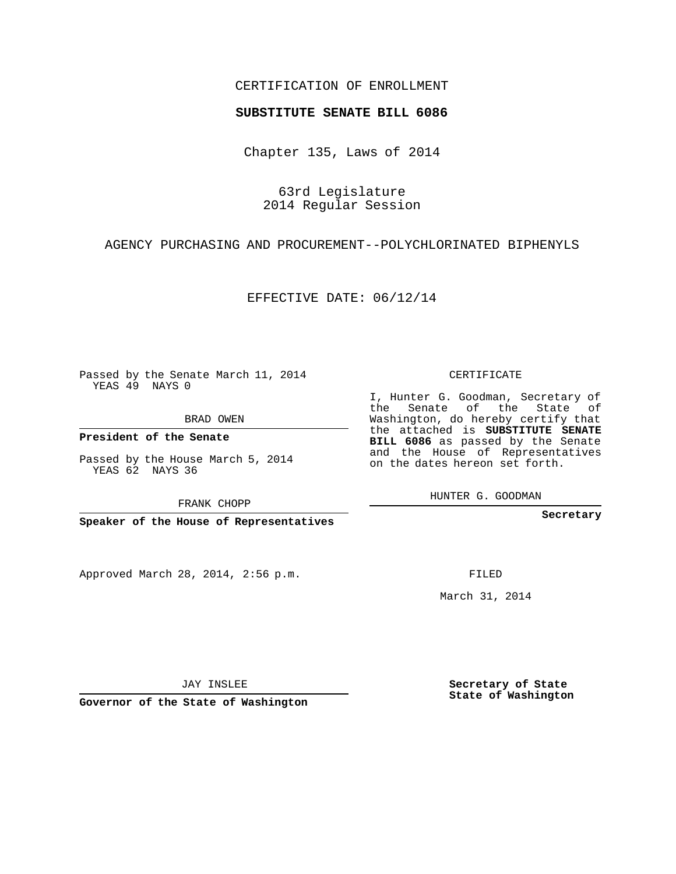## CERTIFICATION OF ENROLLMENT

## **SUBSTITUTE SENATE BILL 6086**

Chapter 135, Laws of 2014

63rd Legislature 2014 Regular Session

AGENCY PURCHASING AND PROCUREMENT--POLYCHLORINATED BIPHENYLS

EFFECTIVE DATE: 06/12/14

Passed by the Senate March 11, 2014 YEAS 49 NAYS 0

BRAD OWEN

**President of the Senate**

Passed by the House March 5, 2014 YEAS 62 NAYS 36

FRANK CHOPP

**Speaker of the House of Representatives**

Approved March 28, 2014, 2:56 p.m.

CERTIFICATE

I, Hunter G. Goodman, Secretary of the Senate of the State of Washington, do hereby certify that the attached is **SUBSTITUTE SENATE BILL 6086** as passed by the Senate and the House of Representatives on the dates hereon set forth.

HUNTER G. GOODMAN

**Secretary**

FILED

March 31, 2014

**Secretary of State State of Washington**

JAY INSLEE

**Governor of the State of Washington**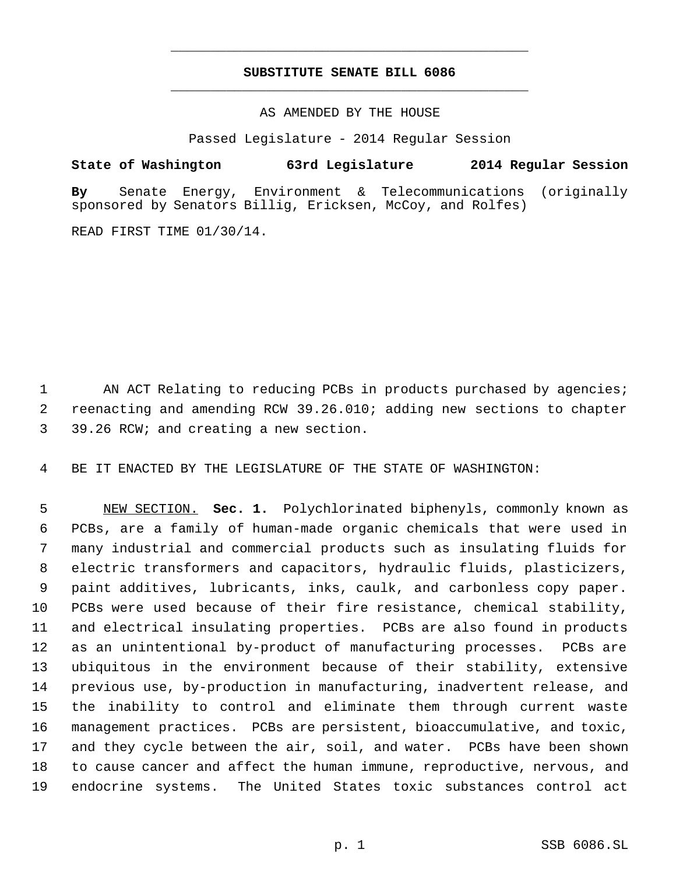## **SUBSTITUTE SENATE BILL 6086** \_\_\_\_\_\_\_\_\_\_\_\_\_\_\_\_\_\_\_\_\_\_\_\_\_\_\_\_\_\_\_\_\_\_\_\_\_\_\_\_\_\_\_\_\_

\_\_\_\_\_\_\_\_\_\_\_\_\_\_\_\_\_\_\_\_\_\_\_\_\_\_\_\_\_\_\_\_\_\_\_\_\_\_\_\_\_\_\_\_\_

AS AMENDED BY THE HOUSE

Passed Legislature - 2014 Regular Session

## **State of Washington 63rd Legislature 2014 Regular Session**

**By** Senate Energy, Environment & Telecommunications (originally sponsored by Senators Billig, Ericksen, McCoy, and Rolfes)

READ FIRST TIME 01/30/14.

1 AN ACT Relating to reducing PCBs in products purchased by agencies; reenacting and amending RCW 39.26.010; adding new sections to chapter 39.26 RCW; and creating a new section.

BE IT ENACTED BY THE LEGISLATURE OF THE STATE OF WASHINGTON:

 NEW SECTION. **Sec. 1.** Polychlorinated biphenyls, commonly known as PCBs, are a family of human-made organic chemicals that were used in many industrial and commercial products such as insulating fluids for electric transformers and capacitors, hydraulic fluids, plasticizers, paint additives, lubricants, inks, caulk, and carbonless copy paper. PCBs were used because of their fire resistance, chemical stability, and electrical insulating properties. PCBs are also found in products as an unintentional by-product of manufacturing processes. PCBs are ubiquitous in the environment because of their stability, extensive previous use, by-production in manufacturing, inadvertent release, and the inability to control and eliminate them through current waste management practices. PCBs are persistent, bioaccumulative, and toxic, and they cycle between the air, soil, and water. PCBs have been shown to cause cancer and affect the human immune, reproductive, nervous, and endocrine systems. The United States toxic substances control act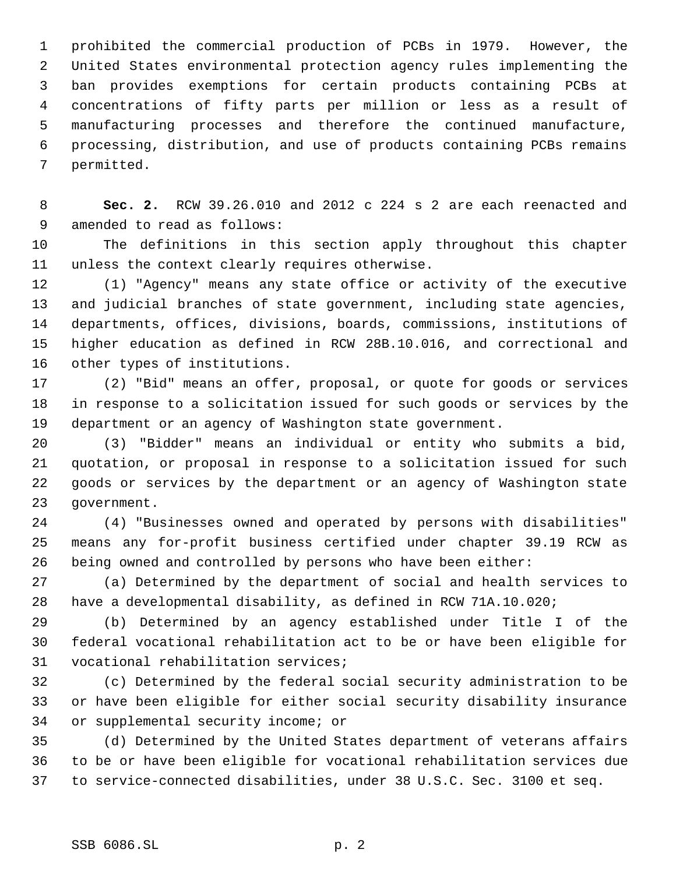prohibited the commercial production of PCBs in 1979. However, the United States environmental protection agency rules implementing the ban provides exemptions for certain products containing PCBs at concentrations of fifty parts per million or less as a result of manufacturing processes and therefore the continued manufacture, processing, distribution, and use of products containing PCBs remains permitted.

 **Sec. 2.** RCW 39.26.010 and 2012 c 224 s 2 are each reenacted and amended to read as follows:

 The definitions in this section apply throughout this chapter unless the context clearly requires otherwise.

 (1) "Agency" means any state office or activity of the executive and judicial branches of state government, including state agencies, departments, offices, divisions, boards, commissions, institutions of higher education as defined in RCW 28B.10.016, and correctional and other types of institutions.

 (2) "Bid" means an offer, proposal, or quote for goods or services in response to a solicitation issued for such goods or services by the department or an agency of Washington state government.

 (3) "Bidder" means an individual or entity who submits a bid, quotation, or proposal in response to a solicitation issued for such goods or services by the department or an agency of Washington state government.

 (4) "Businesses owned and operated by persons with disabilities" means any for-profit business certified under chapter 39.19 RCW as being owned and controlled by persons who have been either:

 (a) Determined by the department of social and health services to have a developmental disability, as defined in RCW 71A.10.020;

 (b) Determined by an agency established under Title I of the federal vocational rehabilitation act to be or have been eligible for vocational rehabilitation services;

 (c) Determined by the federal social security administration to be or have been eligible for either social security disability insurance or supplemental security income; or

 (d) Determined by the United States department of veterans affairs to be or have been eligible for vocational rehabilitation services due to service-connected disabilities, under 38 U.S.C. Sec. 3100 et seq.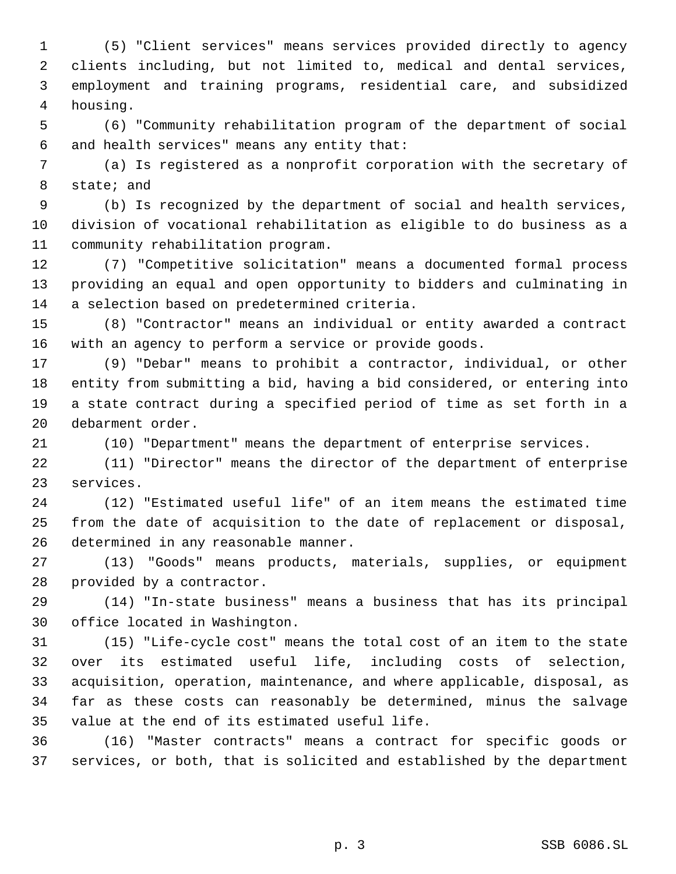(5) "Client services" means services provided directly to agency clients including, but not limited to, medical and dental services, employment and training programs, residential care, and subsidized housing.

 (6) "Community rehabilitation program of the department of social and health services" means any entity that:

 (a) Is registered as a nonprofit corporation with the secretary of state; and

 (b) Is recognized by the department of social and health services, division of vocational rehabilitation as eligible to do business as a community rehabilitation program.

 (7) "Competitive solicitation" means a documented formal process providing an equal and open opportunity to bidders and culminating in a selection based on predetermined criteria.

 (8) "Contractor" means an individual or entity awarded a contract with an agency to perform a service or provide goods.

 (9) "Debar" means to prohibit a contractor, individual, or other entity from submitting a bid, having a bid considered, or entering into a state contract during a specified period of time as set forth in a debarment order.

(10) "Department" means the department of enterprise services.

 (11) "Director" means the director of the department of enterprise services.

 (12) "Estimated useful life" of an item means the estimated time from the date of acquisition to the date of replacement or disposal, determined in any reasonable manner.

 (13) "Goods" means products, materials, supplies, or equipment provided by a contractor.

 (14) "In-state business" means a business that has its principal office located in Washington.

 (15) "Life-cycle cost" means the total cost of an item to the state over its estimated useful life, including costs of selection, acquisition, operation, maintenance, and where applicable, disposal, as far as these costs can reasonably be determined, minus the salvage value at the end of its estimated useful life.

 (16) "Master contracts" means a contract for specific goods or services, or both, that is solicited and established by the department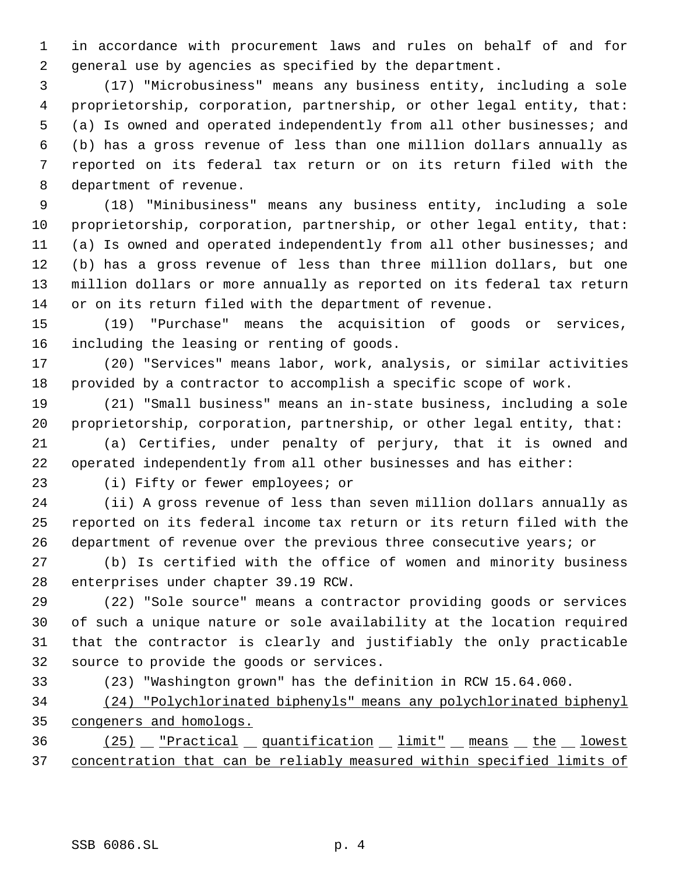in accordance with procurement laws and rules on behalf of and for general use by agencies as specified by the department.

 (17) "Microbusiness" means any business entity, including a sole proprietorship, corporation, partnership, or other legal entity, that: (a) Is owned and operated independently from all other businesses; and (b) has a gross revenue of less than one million dollars annually as reported on its federal tax return or on its return filed with the department of revenue.

 (18) "Minibusiness" means any business entity, including a sole proprietorship, corporation, partnership, or other legal entity, that: (a) Is owned and operated independently from all other businesses; and (b) has a gross revenue of less than three million dollars, but one million dollars or more annually as reported on its federal tax return or on its return filed with the department of revenue.

 (19) "Purchase" means the acquisition of goods or services, including the leasing or renting of goods.

 (20) "Services" means labor, work, analysis, or similar activities provided by a contractor to accomplish a specific scope of work.

 (21) "Small business" means an in-state business, including a sole proprietorship, corporation, partnership, or other legal entity, that:

 (a) Certifies, under penalty of perjury, that it is owned and operated independently from all other businesses and has either:

(i) Fifty or fewer employees; or

 (ii) A gross revenue of less than seven million dollars annually as reported on its federal income tax return or its return filed with the department of revenue over the previous three consecutive years; or

 (b) Is certified with the office of women and minority business enterprises under chapter 39.19 RCW.

 (22) "Sole source" means a contractor providing goods or services of such a unique nature or sole availability at the location required that the contractor is clearly and justifiably the only practicable source to provide the goods or services.

(23) "Washington grown" has the definition in RCW 15.64.060.

 (24) "Polychlorinated biphenyls" means any polychlorinated biphenyl congeners and homologs.

36 (25) Fractical quantification limit" means the lowest concentration that can be reliably measured within specified limits of